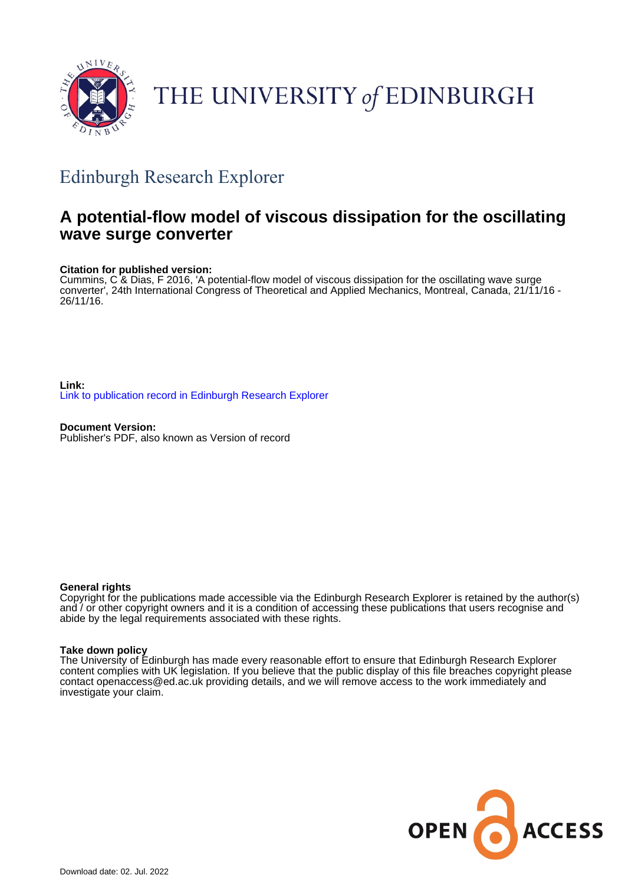

# THE UNIVERSITY of EDINBURGH

## Edinburgh Research Explorer

### **A potential-flow model of viscous dissipation for the oscillating wave surge converter**

#### **Citation for published version:**

Cummins, C & Dias, F 2016, 'A potential-flow model of viscous dissipation for the oscillating wave surge converter', 24th International Congress of Theoretical and Applied Mechanics, Montreal, Canada, 21/11/16 - 26/11/16.

**Link:** [Link to publication record in Edinburgh Research Explorer](https://www.research.ed.ac.uk/en/publications/c5b0b329-ba0e-4d54-bf6a-1fb5046aaa9c)

**Document Version:** Publisher's PDF, also known as Version of record

#### **General rights**

Copyright for the publications made accessible via the Edinburgh Research Explorer is retained by the author(s) and / or other copyright owners and it is a condition of accessing these publications that users recognise and abide by the legal requirements associated with these rights.

#### **Take down policy**

The University of Edinburgh has made every reasonable effort to ensure that Edinburgh Research Explorer content complies with UK legislation. If you believe that the public display of this file breaches copyright please contact openaccess@ed.ac.uk providing details, and we will remove access to the work immediately and investigate your claim.

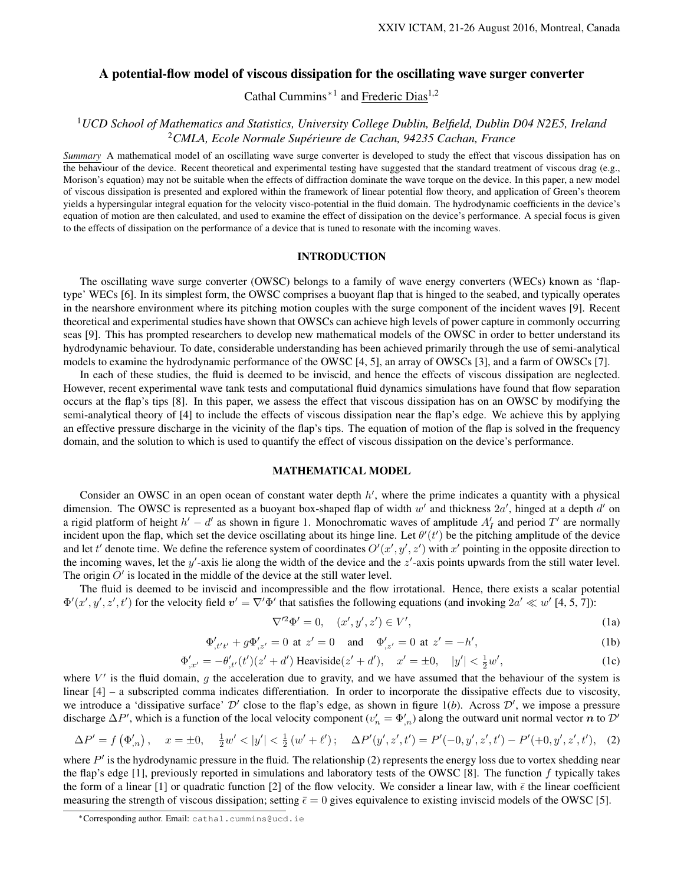#### A potential-flow model of viscous dissipation for the oscillating wave surger converter

Cathal Cummins<sup>∗1</sup> and Frederic Dias<sup>1,2</sup>

#### <sup>1</sup>*UCD School of Mathematics and Statistics, University College Dublin, Belfield, Dublin D04 N2E5, Ireland* <sup>2</sup>*CMLA, Ecole Normale Superieure de Cachan, 94235 Cachan, France ´*

*Summary* A mathematical model of an oscillating wave surge converter is developed to study the effect that viscous dissipation has on the behaviour of the device. Recent theoretical and experimental testing have suggested that the standard treatment of viscous drag (e.g., Morison's equation) may not be suitable when the effects of diffraction dominate the wave torque on the device. In this paper, a new model of viscous dissipation is presented and explored within the framework of linear potential flow theory, and application of Green's theorem yields a hypersingular integral equation for the velocity visco-potential in the fluid domain. The hydrodynamic coefficients in the device's equation of motion are then calculated, and used to examine the effect of dissipation on the device's performance. A special focus is given to the effects of dissipation on the performance of a device that is tuned to resonate with the incoming waves.

#### INTRODUCTION

The oscillating wave surge converter (OWSC) belongs to a family of wave energy converters (WECs) known as 'flaptype' WECs [6]. In its simplest form, the OWSC comprises a buoyant flap that is hinged to the seabed, and typically operates in the nearshore environment where its pitching motion couples with the surge component of the incident waves [9]. Recent theoretical and experimental studies have shown that OWSCs can achieve high levels of power capture in commonly occurring seas [9]. This has prompted researchers to develop new mathematical models of the OWSC in order to better understand its hydrodynamic behaviour. To date, considerable understanding has been achieved primarily through the use of semi-analytical models to examine the hydrodynamic performance of the OWSC [4, 5], an array of OWSCs [3], and a farm of OWSCs [7].

In each of these studies, the fluid is deemed to be inviscid, and hence the effects of viscous dissipation are neglected. However, recent experimental wave tank tests and computational fluid dynamics simulations have found that flow separation occurs at the flap's tips [8]. In this paper, we assess the effect that viscous dissipation has on an OWSC by modifying the semi-analytical theory of [4] to include the effects of viscous dissipation near the flap's edge. We achieve this by applying an effective pressure discharge in the vicinity of the flap's tips. The equation of motion of the flap is solved in the frequency domain, and the solution to which is used to quantify the effect of viscous dissipation on the device's performance.

#### MATHEMATICAL MODEL

Consider an OWSC in an open ocean of constant water depth  $h'$ , where the prime indicates a quantity with a physical dimension. The OWSC is represented as a buoyant box-shaped flap of width  $w'$  and thickness  $2a'$ , hinged at a depth  $d'$  on a rigid platform of height  $h' - d'$  as shown in figure 1. Monochromatic waves of amplitude  $A'_I$  and period  $T'$  are normally incident upon the flap, which set the device oscillating about its hinge line. Let  $\theta'(t')$  be the pitching amplitude of the device and let t' denote time. We define the reference system of coordinates  $O'(x', y', z')$  with  $x'$  pointing in the opposite direction to the incoming waves, let the  $y'$ -axis lie along the width of the device and the  $z'$ -axis points upwards from the still water level. The origin  $O'$  is located in the middle of the device at the still water level.

The fluid is deemed to be inviscid and incompressible and the flow irrotational. Hence, there exists a scalar potential  $\Phi'(x', y', z', t')$  for the velocity field  $v' = \nabla' \Phi'$  that satisfies the following equations (and invoking  $2a' \ll w'$  [4, 5, 7]):

$$
\nabla'^2 \Phi' = 0, \quad (x', y', z') \in V', \tag{1a}
$$

$$
\Phi'_{,t't'} + g\Phi'_{,z'} = 0 \text{ at } z' = 0 \quad \text{and} \quad \Phi'_{,z'} = 0 \text{ at } z' = -h',\tag{1b}
$$

$$
\Phi'_{,x'} = -\theta'_{,t'}(t')(z' + d') \text{ Heaviside}(z' + d'), \quad x' = \pm 0, \quad |y'| < \frac{1}{2}w',\tag{1c}
$$

where  $V'$  is the fluid domain, g the acceleration due to gravity, and we have assumed that the behaviour of the system is linear [4] – a subscripted comma indicates differentiation. In order to incorporate the dissipative effects due to viscosity, we introduce a 'dissipative surface'  $D'$  close to the flap's edge, as shown in figure  $1(b)$ . Across  $D'$ , we impose a pressure discharge  $\Delta P'$ , which is a function of the local velocity component ( $v'_n = \Phi'_{n}$ ) along the outward unit normal vector  $n$  to  $\mathcal{D}'$ 

$$
\Delta P' = f(\Phi'_{,n}), \quad x = \pm 0, \quad \frac{1}{2}w' < |y'| < \frac{1}{2}(w' + \ell'); \quad \Delta P'(y', z', t') = P'(-0, y', z', t') - P'(+0, y', z', t'), \quad (2)
$$

where  $P'$  is the hydrodynamic pressure in the fluid. The relationship (2) represents the energy loss due to vortex shedding near the flap's edge [1], previously reported in simulations and laboratory tests of the OWSC [8]. The function  $f$  typically takes the form of a linear [1] or quadratic function [2] of the flow velocity. We consider a linear law, with  $\bar{\epsilon}$  the linear coefficient measuring the strength of viscous dissipation; setting  $\bar{\epsilon} = 0$  gives equivalence to existing inviscid models of the OWSC [5].

<sup>∗</sup>Corresponding author. Email: cathal.cummins@ucd.ie